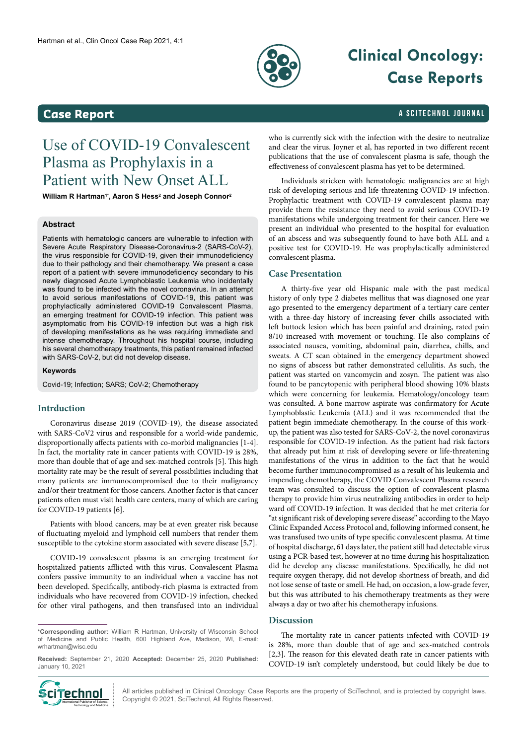

# **Clinical Oncology: Case Reports**

### <span id="page-0-0"></span>**Case Report Case Report and Case Report** a Science of the Science of the Scite Change of the Scite Change of the Science of the Science of the Science of the Science of the Science of the Science of the Science of the

## Use of COVID-19 Convalescent Plasma as Prophylaxis in a Patient with New Onset ALL

**William R Hartman1\*, Aaron S Hess2 and Joseph Connor2**

#### **Abstract**

Patients with hematologic cancers are vulnerable to infection with Severe Acute Respiratory Disease-Coronavirus-2 (SARS-CoV-2), the virus responsible for COVID-19, given their immunodeficiency due to their pathology and their chemotherapy. We present a case report of a patient with severe immunodeficiency secondary to his newly diagnosed Acute Lymphoblastic Leukemia who incidentally was found to be infected with the novel coronavirus. In an attempt to avoid serious manifestations of COVID-19, this patient was prophylactically administered COVID-19 Convalescent Plasma, an emerging treatment for COVID-19 infection. This patient was asymptomatic from his COVID-19 infection but was a high risk of developing manifestations as he was requiring immediate and intense chemotherapy. Throughout his hospital course, including his several chemotherapy treatments, this patient remained infected with SARS-CoV-2, but did not develop disease.

#### **Keywords**

Covid-19; Infection; SARS; CoV-2; Chemotherapy

#### **Intrduction**

Coronavirus disease 2019 (COVID-19), the disease associated with SARS-CoV2 virus and responsible for a world-wide pandemic, disproportionally affects patients with co-morbid malignancies [1-4]. In fact, the mortality rate in cancer patients with COVID-19 is 28%, more than double that of age and sex-matched controls [5]. This high mortality rate may be the result of several possibilities including that many patients are immunocompromised due to their malignancy and/or their treatment for those cancers. Another factor is that cancer patients often must visit health care centers, many of which are caring for COVID-19 patients [6].

Patients with blood cancers, may be at even greater risk because of fluctuating myeloid and lymphoid cell numbers that render them susceptible to the cytokine storm associated with severe disease [5,7].

COVID-19 convalescent plasma is an emerging treatment for hospitalized patients afflicted with this virus. Convalescent Plasma confers passive immunity to an individual when a vaccine has not been developed. Specifically, antibody-rich plasma is extracted from individuals who have recovered from COVID-19 infection, checked for other viral pathogens, and then transfused into an individual

**\*Corresponding author:** William R Hartman, University of Wisconsin School of Medicine and Public Health, 600 Highland Ave, Madison, WI, E-mail: [wrhartman@wisc.edu](mailto:wrhartman@wisc.edu)

**Received:** September 21, 2020 **Accepted:** December 25, 2020 **Published:** January 10, 2021



Individuals stricken with hematologic malignancies are at high risk of developing serious and life-threatening COVID-19 infection. Prophylactic treatment with COVID-19 convalescent plasma may provide them the resistance they need to avoid serious COVID-19 manifestations while undergoing treatment for their cancer. Here we present an individual who presented to the hospital for evaluation of an abscess and was subsequently found to have both ALL and a positive test for COVID-19. He was prophylactically administered convalescent plasma.

#### **Case Presentation**

A thirty-five year old Hispanic male with the past medical history of only type 2 diabetes mellitus that was diagnosed one year ago presented to the emergency department of a tertiary care center with a three-day history of increasing fever chills associated with left buttock lesion which has been painful and draining, rated pain 8/10 increased with movement or touching. He also complains of associated nausea, vomiting, abdominal pain, diarrhea, chills, and sweats. A CT scan obtained in the emergency department showed no signs of abscess but rather demonstrated cellulitis. As such, the patient was started on vancomycin and zosyn. The patient was also found to be pancytopenic with peripheral blood showing 10% blasts which were concerning for leukemia. Hematology/oncology team was consulted. A bone marrow aspirate was confirmatory for Acute Lymphoblastic Leukemia (ALL) and it was recommended that the patient begin immediate chemotherapy. In the course of this workup, the patient was also tested for SARS-CoV-2, the novel coronavirus responsible for COVID-19 infection. As the patient had risk factors that already put him at risk of developing severe or life-threatening manifestations of the virus in addition to the fact that he would become further immunocompromised as a result of his leukemia and impending chemotherapy, the COVID Convalescent Plasma research team was consulted to discuss the option of convalescent plasma therapy to provide him virus neutralizing antibodies in order to help ward off COVID-19 infection. It was decided that he met criteria for "at significant risk of developing severe disease" according to the Mayo Clinic Expanded Access Protocol and, following informed consent, he was transfused two units of type specific convalescent plasma. At time of hospital discharge, 61 days later, the patient still had detectable virus using a PCR-based test, however at no time during his hospitalization did he develop any disease manifestations. Specifically, he did not require oxygen therapy, did not develop shortness of breath, and did not lose sense of taste or smell. He had, on occasion, a low-grade fever, but this was attributed to his chemotherapy treatments as they were always a day or two after his chemotherapy infusions.

#### **Discussion**

The mortality rate in cancer patients infected with COVID-19 is 28%, more than double that of age and sex-matched controls [2,3]. The reason for this elevated death rate in cancer patients with COVID-19 isn't completely understood, but could likely be due to



All articles published in Clinical Oncology: Case Reports are the property of SciTechnol, and is protected by copyright laws.  $\text{Cip}$  **Communisher of Science 1998 12021** (September 2021, SciTechnol, All Rights Reserved.